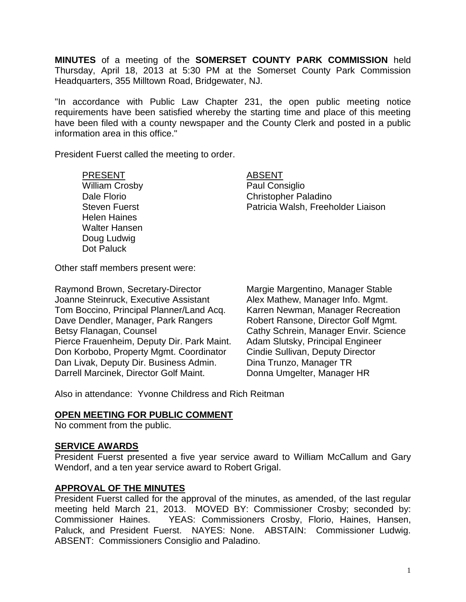**MINUTES** of a meeting of the **SOMERSET COUNTY PARK COMMISSION** held Thursday, April 18, 2013 at 5:30 PM at the Somerset County Park Commission Headquarters, 355 Milltown Road, Bridgewater, NJ.

"In accordance with Public Law Chapter 231, the open public meeting notice requirements have been satisfied whereby the starting time and place of this meeting have been filed with a county newspaper and the County Clerk and posted in a public information area in this office."

President Fuerst called the meeting to order.

PRESENT ABSENT

William Crosby **Paul Consiglio** Helen Haines Walter Hansen Doug Ludwig Dot Paluck

Dale Florio Christopher Paladino Steven Fuerst **Patricia Walsh, Freeholder Liaison** 

Other staff members present were:

Raymond Brown, Secretary-Director Margie Margentino, Manager Stable Joanne Steinruck, Executive Assistant Alex Mathew, Manager Info. Mgmt. Tom Boccino, Principal Planner/Land Acq. Karren Newman, Manager Recreation Dave Dendler, Manager, Park Rangers Robert Ransone, Director Golf Mgmt. Betsy Flanagan, Counsel **Cathy Schrein, Manager Envir. Science** Pierce Frauenheim, Deputy Dir. Park Maint. Adam Slutsky, Principal Engineer<br>Don Korbobo, Property Mgmt. Coordinator Cindie Sullivan, Deputy Director Don Korbobo, Property Mgmt. Coordinator Dan Livak, Deputy Dir. Business Admin. Dina Trunzo, Manager TR Darrell Marcinek, Director Golf Maint. Donna Umgelter, Manager HR

Also in attendance: Yvonne Childress and Rich Reitman

### **OPEN MEETING FOR PUBLIC COMMENT**

No comment from the public.

### **SERVICE AWARDS**

President Fuerst presented a five year service award to William McCallum and Gary Wendorf, and a ten year service award to Robert Grigal.

# **APPROVAL OF THE MINUTES**

President Fuerst called for the approval of the minutes, as amended, of the last regular meeting held March 21, 2013. MOVED BY: Commissioner Crosby; seconded by: Commissioner Haines. YEAS: Commissioners Crosby, Florio, Haines, Hansen, Paluck, and President Fuerst. NAYES: None. ABSTAIN: Commissioner Ludwig. ABSENT: Commissioners Consiglio and Paladino.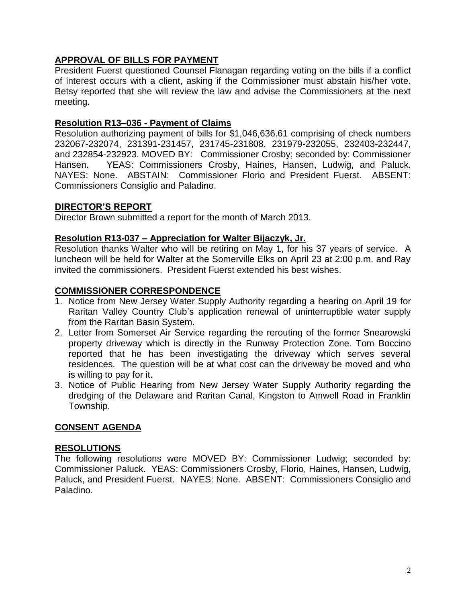# **APPROVAL OF BILLS FOR PAYMENT**

President Fuerst questioned Counsel Flanagan regarding voting on the bills if a conflict of interest occurs with a client, asking if the Commissioner must abstain his/her vote. Betsy reported that she will review the law and advise the Commissioners at the next meeting.

### **Resolution R13–036 - Payment of Claims**

Resolution authorizing payment of bills for \$1,046,636.61 comprising of check numbers 232067-232074, 231391-231457, 231745-231808, 231979-232055, 232403-232447, and 232854-232923. MOVED BY: Commissioner Crosby; seconded by: Commissioner Hansen. YEAS: Commissioners Crosby, Haines, Hansen, Ludwig, and Paluck. NAYES: None. ABSTAIN: Commissioner Florio and President Fuerst. ABSENT: Commissioners Consiglio and Paladino.

## **DIRECTOR'S REPORT**

Director Brown submitted a report for the month of March 2013.

### **Resolution R13-037 – Appreciation for Walter Bijaczyk, Jr.**

Resolution thanks Walter who will be retiring on May 1, for his 37 years of service. A luncheon will be held for Walter at the Somerville Elks on April 23 at 2:00 p.m. and Ray invited the commissioners. President Fuerst extended his best wishes.

## **COMMISSIONER CORRESPONDENCE**

- 1. Notice from New Jersey Water Supply Authority regarding a hearing on April 19 for Raritan Valley Country Club's application renewal of uninterruptible water supply from the Raritan Basin System.
- 2. Letter from Somerset Air Service regarding the rerouting of the former Snearowski property driveway which is directly in the Runway Protection Zone. Tom Boccino reported that he has been investigating the driveway which serves several residences. The question will be at what cost can the driveway be moved and who is willing to pay for it.
- 3. Notice of Public Hearing from New Jersey Water Supply Authority regarding the dredging of the Delaware and Raritan Canal, Kingston to Amwell Road in Franklin Township.

# **CONSENT AGENDA**

### **RESOLUTIONS**

The following resolutions were MOVED BY: Commissioner Ludwig; seconded by: Commissioner Paluck. YEAS: Commissioners Crosby, Florio, Haines, Hansen, Ludwig, Paluck, and President Fuerst. NAYES: None. ABSENT: Commissioners Consiglio and Paladino.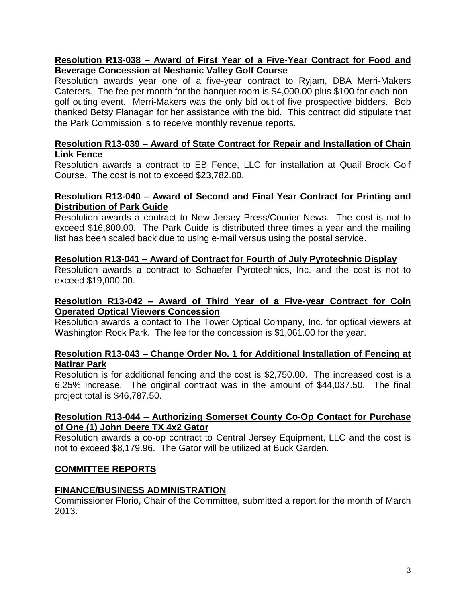## **Resolution R13-038 – Award of First Year of a Five-Year Contract for Food and Beverage Concession at Neshanic Valley Golf Course**

Resolution awards year one of a five-year contract to Ryjam, DBA Merri-Makers Caterers. The fee per month for the banquet room is \$4,000.00 plus \$100 for each nongolf outing event. Merri-Makers was the only bid out of five prospective bidders. Bob thanked Betsy Flanagan for her assistance with the bid. This contract did stipulate that the Park Commission is to receive monthly revenue reports.

#### **Resolution R13-039 – Award of State Contract for Repair and Installation of Chain Link Fence**

Resolution awards a contract to EB Fence, LLC for installation at Quail Brook Golf Course. The cost is not to exceed \$23,782.80.

### **Resolution R13-040 – Award of Second and Final Year Contract for Printing and Distribution of Park Guide**

Resolution awards a contract to New Jersey Press/Courier News. The cost is not to exceed \$16,800.00. The Park Guide is distributed three times a year and the mailing list has been scaled back due to using e-mail versus using the postal service.

### **Resolution R13-041 – Award of Contract for Fourth of July Pyrotechnic Display**

Resolution awards a contract to Schaefer Pyrotechnics, Inc. and the cost is not to exceed \$19,000.00.

### **Resolution R13-042 – Award of Third Year of a Five-year Contract for Coin Operated Optical Viewers Concession**

Resolution awards a contact to The Tower Optical Company, Inc. for optical viewers at Washington Rock Park. The fee for the concession is \$1,061.00 for the year.

### **Resolution R13-043 – Change Order No. 1 for Additional Installation of Fencing at Natirar Park**

Resolution is for additional fencing and the cost is \$2,750.00. The increased cost is a 6.25% increase. The original contract was in the amount of \$44,037.50. The final project total is \$46,787.50.

## **Resolution R13-044 – Authorizing Somerset County Co-Op Contact for Purchase of One (1) John Deere TX 4x2 Gator**

Resolution awards a co-op contract to Central Jersey Equipment, LLC and the cost is not to exceed \$8,179.96. The Gator will be utilized at Buck Garden.

### **COMMITTEE REPORTS**

### **FINANCE/BUSINESS ADMINISTRATION**

Commissioner Florio, Chair of the Committee, submitted a report for the month of March 2013.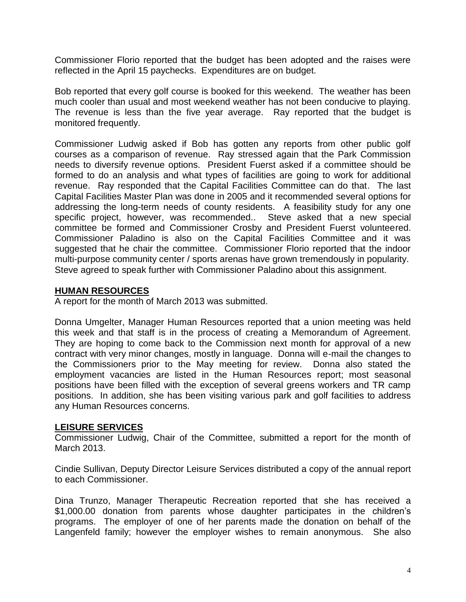Commissioner Florio reported that the budget has been adopted and the raises were reflected in the April 15 paychecks. Expenditures are on budget.

Bob reported that every golf course is booked for this weekend. The weather has been much cooler than usual and most weekend weather has not been conducive to playing. The revenue is less than the five year average. Ray reported that the budget is monitored frequently.

Commissioner Ludwig asked if Bob has gotten any reports from other public golf courses as a comparison of revenue. Ray stressed again that the Park Commission needs to diversify revenue options. President Fuerst asked if a committee should be formed to do an analysis and what types of facilities are going to work for additional revenue. Ray responded that the Capital Facilities Committee can do that. The last Capital Facilities Master Plan was done in 2005 and it recommended several options for addressing the long-term needs of county residents. A feasibility study for any one specific project, however, was recommended.. Steve asked that a new special committee be formed and Commissioner Crosby and President Fuerst volunteered. Commissioner Paladino is also on the Capital Facilities Committee and it was suggested that he chair the committee. Commissioner Florio reported that the indoor multi-purpose community center / sports arenas have grown tremendously in popularity. Steve agreed to speak further with Commissioner Paladino about this assignment.

#### **HUMAN RESOURCES**

A report for the month of March 2013 was submitted.

Donna Umgelter, Manager Human Resources reported that a union meeting was held this week and that staff is in the process of creating a Memorandum of Agreement. They are hoping to come back to the Commission next month for approval of a new contract with very minor changes, mostly in language. Donna will e-mail the changes to the Commissioners prior to the May meeting for review. Donna also stated the employment vacancies are listed in the Human Resources report; most seasonal positions have been filled with the exception of several greens workers and TR camp positions. In addition, she has been visiting various park and golf facilities to address any Human Resources concerns.

#### **LEISURE SERVICES**

Commissioner Ludwig, Chair of the Committee, submitted a report for the month of March 2013.

Cindie Sullivan, Deputy Director Leisure Services distributed a copy of the annual report to each Commissioner.

Dina Trunzo, Manager Therapeutic Recreation reported that she has received a \$1,000.00 donation from parents whose daughter participates in the children's programs. The employer of one of her parents made the donation on behalf of the Langenfeld family; however the employer wishes to remain anonymous. She also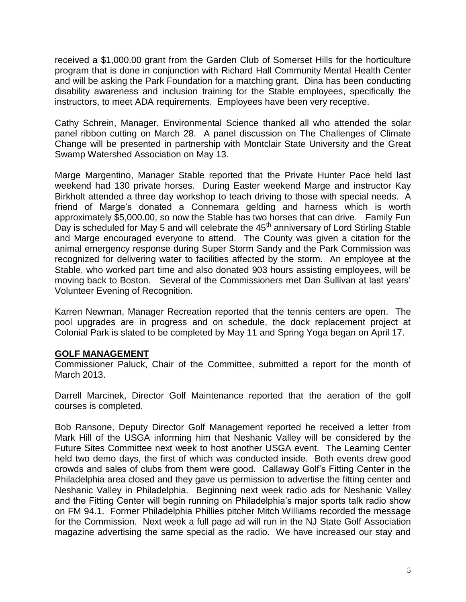received a \$1,000.00 grant from the Garden Club of Somerset Hills for the horticulture program that is done in conjunction with Richard Hall Community Mental Health Center and will be asking the Park Foundation for a matching grant. Dina has been conducting disability awareness and inclusion training for the Stable employees, specifically the instructors, to meet ADA requirements. Employees have been very receptive.

Cathy Schrein, Manager, Environmental Science thanked all who attended the solar panel ribbon cutting on March 28. A panel discussion on The Challenges of Climate Change will be presented in partnership with Montclair State University and the Great Swamp Watershed Association on May 13.

Marge Margentino, Manager Stable reported that the Private Hunter Pace held last weekend had 130 private horses. During Easter weekend Marge and instructor Kay Birkholt attended a three day workshop to teach driving to those with special needs. A friend of Marge's donated a Connemara gelding and harness which is worth approximately \$5,000.00, so now the Stable has two horses that can drive. Family Fun Day is scheduled for May 5 and will celebrate the 45<sup>th</sup> anniversary of Lord Stirling Stable and Marge encouraged everyone to attend. The County was given a citation for the animal emergency response during Super Storm Sandy and the Park Commission was recognized for delivering water to facilities affected by the storm. An employee at the Stable, who worked part time and also donated 903 hours assisting employees, will be moving back to Boston. Several of the Commissioners met Dan Sullivan at last years' Volunteer Evening of Recognition.

Karren Newman, Manager Recreation reported that the tennis centers are open. The pool upgrades are in progress and on schedule, the dock replacement project at Colonial Park is slated to be completed by May 11 and Spring Yoga began on April 17.

# **GOLF MANAGEMENT**

Commissioner Paluck, Chair of the Committee, submitted a report for the month of March 2013.

Darrell Marcinek, Director Golf Maintenance reported that the aeration of the golf courses is completed.

Bob Ransone, Deputy Director Golf Management reported he received a letter from Mark Hill of the USGA informing him that Neshanic Valley will be considered by the Future Sites Committee next week to host another USGA event. The Learning Center held two demo days, the first of which was conducted inside. Both events drew good crowds and sales of clubs from them were good. Callaway Golf's Fitting Center in the Philadelphia area closed and they gave us permission to advertise the fitting center and Neshanic Valley in Philadelphia. Beginning next week radio ads for Neshanic Valley and the Fitting Center will begin running on Philadelphia's major sports talk radio show on FM 94.1. Former Philadelphia Phillies pitcher Mitch Williams recorded the message for the Commission. Next week a full page ad will run in the NJ State Golf Association magazine advertising the same special as the radio. We have increased our stay and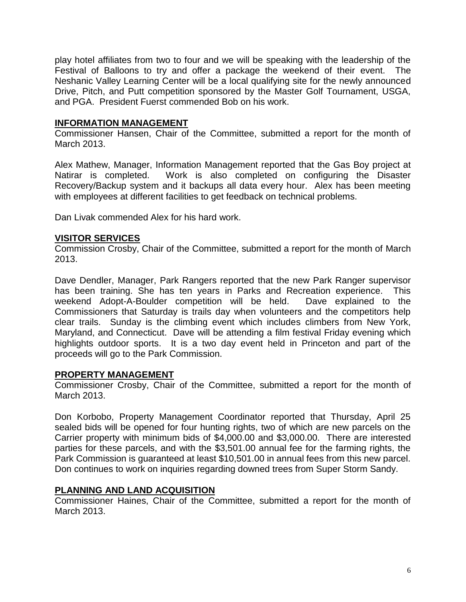play hotel affiliates from two to four and we will be speaking with the leadership of the Festival of Balloons to try and offer a package the weekend of their event. The Neshanic Valley Learning Center will be a local qualifying site for the newly announced Drive, Pitch, and Putt competition sponsored by the Master Golf Tournament, USGA, and PGA. President Fuerst commended Bob on his work.

### **INFORMATION MANAGEMENT**

Commissioner Hansen, Chair of the Committee, submitted a report for the month of March 2013.

Alex Mathew, Manager, Information Management reported that the Gas Boy project at Natirar is completed. Work is also completed on configuring the Disaster Recovery/Backup system and it backups all data every hour. Alex has been meeting with employees at different facilities to get feedback on technical problems.

Dan Livak commended Alex for his hard work.

### **VISITOR SERVICES**

Commission Crosby, Chair of the Committee, submitted a report for the month of March 2013.

Dave Dendler, Manager, Park Rangers reported that the new Park Ranger supervisor has been training. She has ten years in Parks and Recreation experience. This weekend Adopt-A-Boulder competition will be held. Dave explained to the Commissioners that Saturday is trails day when volunteers and the competitors help clear trails. Sunday is the climbing event which includes climbers from New York, Maryland, and Connecticut. Dave will be attending a film festival Friday evening which highlights outdoor sports. It is a two day event held in Princeton and part of the proceeds will go to the Park Commission.

### **PROPERTY MANAGEMENT**

Commissioner Crosby, Chair of the Committee, submitted a report for the month of March 2013.

Don Korbobo, Property Management Coordinator reported that Thursday, April 25 sealed bids will be opened for four hunting rights, two of which are new parcels on the Carrier property with minimum bids of \$4,000.00 and \$3,000.00. There are interested parties for these parcels, and with the \$3,501.00 annual fee for the farming rights, the Park Commission is guaranteed at least \$10,501.00 in annual fees from this new parcel. Don continues to work on inquiries regarding downed trees from Super Storm Sandy.

### **PLANNING AND LAND ACQUISITION**

Commissioner Haines, Chair of the Committee, submitted a report for the month of March 2013.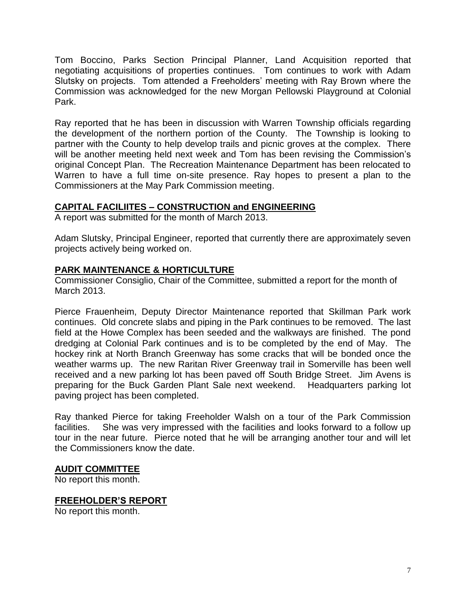Tom Boccino, Parks Section Principal Planner, Land Acquisition reported that negotiating acquisitions of properties continues. Tom continues to work with Adam Slutsky on projects. Tom attended a Freeholders' meeting with Ray Brown where the Commission was acknowledged for the new Morgan Pellowski Playground at Colonial Park.

Ray reported that he has been in discussion with Warren Township officials regarding the development of the northern portion of the County. The Township is looking to partner with the County to help develop trails and picnic groves at the complex. There will be another meeting held next week and Tom has been revising the Commission's original Concept Plan. The Recreation Maintenance Department has been relocated to Warren to have a full time on-site presence. Ray hopes to present a plan to the Commissioners at the May Park Commission meeting.

# **CAPITAL FACILIITES – CONSTRUCTION and ENGINEERING**

A report was submitted for the month of March 2013.

Adam Slutsky, Principal Engineer, reported that currently there are approximately seven projects actively being worked on.

## **PARK MAINTENANCE & HORTICULTURE**

Commissioner Consiglio, Chair of the Committee, submitted a report for the month of March 2013.

Pierce Frauenheim, Deputy Director Maintenance reported that Skillman Park work continues. Old concrete slabs and piping in the Park continues to be removed. The last field at the Howe Complex has been seeded and the walkways are finished. The pond dredging at Colonial Park continues and is to be completed by the end of May. The hockey rink at North Branch Greenway has some cracks that will be bonded once the weather warms up. The new Raritan River Greenway trail in Somerville has been well received and a new parking lot has been paved off South Bridge Street. Jim Avens is preparing for the Buck Garden Plant Sale next weekend. Headquarters parking lot paving project has been completed.

Ray thanked Pierce for taking Freeholder Walsh on a tour of the Park Commission facilities. She was very impressed with the facilities and looks forward to a follow up tour in the near future. Pierce noted that he will be arranging another tour and will let the Commissioners know the date.

### **AUDIT COMMITTEE**

No report this month.

# **FREEHOLDER'S REPORT**

No report this month.